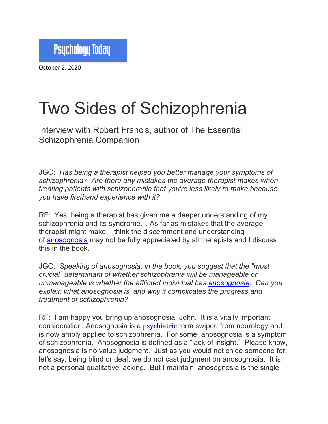

October 2, 2020

## Two Sides of Schizophrenia

Interview with Robert Francis, author of The Essential Schizophrenia Companion

JGC: *Has being a therapist helped you better manage your symptoms of schizophrenia? Are there any mistakes the average therapist makes when treating patients with schizophrenia that you're less likely to make because you have firsthand experience with it?*

RF: Yes, being a therapist has given me a deeper understanding of my schizophrenia and its syndrome… As far as mistakes that the average therapist might make, I think the discernment and understanding of anosognosia may not be fully appreciated by all therapists and I discuss this in the book.

JGC: *Speaking of anosognosia, in the book, you suggest that the "most crucial" determinant of whether schizophrenia will be manageable or unmanageable is whether the afflicted individual has anosognosia. Can you explain what anosognosia is, and why it complicates the progress and treatment of schizophrenia?*

RF: I am happy you bring up anosognosia, John. It is a vitally important consideration. Anosognosia is a **psychiatric** term swiped from neurology and is now amply applied to schizophrenia. For some, anosognosia is a symptom of schizophrenia. Anosognosia is defined as a "lack of insight." Please know, anosognosia is no value judgment. Just as you would not chide someone for, let's say, being blind or deaf, we do not cast judgment on anosognosia. It is not a personal qualitative lacking. But I maintain, anosognosia is the single